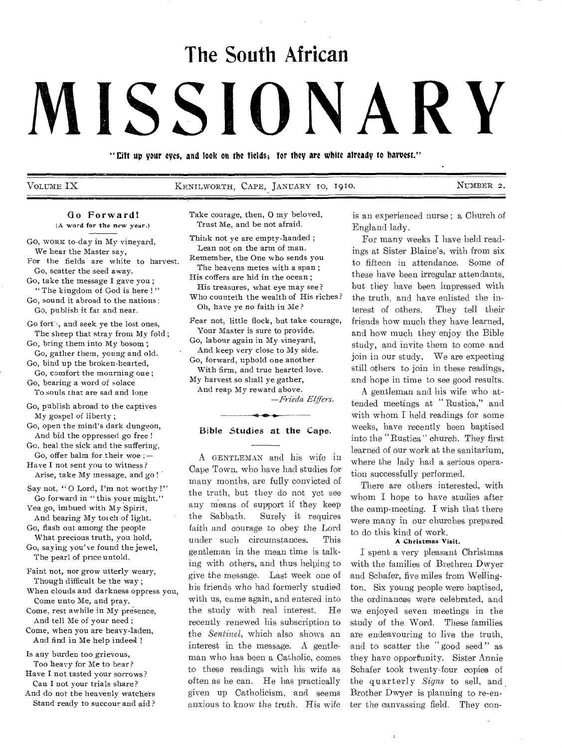# **The South African**

# **MISSIONARY**

"Gift up your eyes, and look on the fields; for they are white already to harvest."

VOLUME IX 6 KENILWORTH, CAPE, JANUARY 10, 1910. NUMBER 2.

# Go Forward! (A word for the new year.)

Go, WORK to-day in My vineyard, We hear the Master say,

For the fields are white to harvest. Go, scatter the seed away.

Go, take the message I gave you ; " The kingdom of God is here !"

Go, sound it abroad to the nations ; Go, publish it fax and near.

Go forth, and seek ye the lost ones, The sheep that stray from My fold ;

Go, bring them into My bosom ; *Go,* gather them, young-and old.

Go, bind up the broken-hearted, Go, comfort the mourning one ;

Go, bearing a word of solace To souls that are sad and lone

- Go, publish abroad to the captives My gospel of liberty ;
- Go, open the mind's dark dungeon, And bid the oppressed go free !
- Go, heal the sick and the suffering, Go, offer balm for their woe ;  $-$

Have I not sent you to witness? Arise, take My message, and go !

Say not, "O Lord, I'm not worthy!" Go forward in " this your might."

Yea go, imbued with My Spirit, And bearing My torch of light.

Go, flash out among the people What precious truth, you hold,

Go, saying you've found the jewel, The pearl of price untold.

Faint not, nor grow utterly weary, Though difficult be the way ;

When clouds and darkness oppress you, Come unto Me, and pray.

Come, rest awhile in My presence, And tell Me of your need ; Come, when you are heavy-laden,

And find in Me help indeed !

Is any burden too grievous, Too heavy for Me to bear? Have I not tasted your sorrows?

Can I not your trials share?

And do not the heavenly watchers Stand ready to succour and aid ? Take courage, then, 0 my beloved, Trust Me, and be not afraid.

Think not ye are empty-handed ; Lean not on the arm of man. Remember, the One who sends you The heavens metes with a span ; His coffers are hid in the ocean ;

His treasures, what eye may see? Who counteth the wealth of His riches? Oh, have ye no faith in Me?

Fear not, little flock, but take courage, Your Master is sure to provide. Go, labour again in My vineyard, And keep very close to My side. Go, forward, uphold one another With firm, and true hearted love. My harvest so shall ye gather, And reap My reward above.

*—Frieda Elffers.* 

## Bible Studies at the Cape.

A GENTLEMAN and his wife in Cape Town, who have had studies for many months, are fully convicted of the truth, but they do not yet see any means of support if they keep the Sabbath. Surely it requires faith and courage to obey the Lord under such circumstances. This gentleman in the mean time is talking with others, and thus helping to give the message. Last week one of his friends who had formerly studied with us, came again, and entered into the study with real interest. He recently renewed his subscription to the *Sentinel,* which also shows an interest in the message. A gentleman who has been a Catholic, comes to these readings with his wife as often as he can. He has practically given up Catholicism, and seems anxious to know the truth. His wife

is an experienced nurse ; a Church of England lady.

For many weeks I have held readings at Sister Blaine's, with from six to fifteen in attendance. Some of these have been irregular attendants, but they have been impressed with the truth, and have enlisted the interest of others. They tell their friends how much they have learned, and how much they enjoy the Bible study, and invite them to come and join in our study. We are expecting still others to join in these readings, and hope in time to see good results.

A gentleman and his wife who attended meetings at " Rustica," and with whom I held readings for some weeks, have recently been baptised into the " Rustica " church. They first learned of our work at the sanitarium, where the lady had a serious operation successfully performed.

There are others interested, with whom I hope to have studies after the camp-meeting. I wish that there were many in our churches prepared to do this kind of work.

### A Christmas Visit.

I spent a very pleasant Christmas with the families of Brethren Dwyer and Schafer, five miles from Wellington. Six young people were baptised, the ordinances were celebrated, and we enjoyed seven meetings in the study of the Word. These families are endeavouring to live the truth, and to scatter the " good seed " as they have opportunity. Sister Annie Schafer took twenty-four copies of the quarterly *Signs* to sell, and, Brother Dwyer is planning to re-enter the canvassing field. They con-

 $\ddot{\cdot}$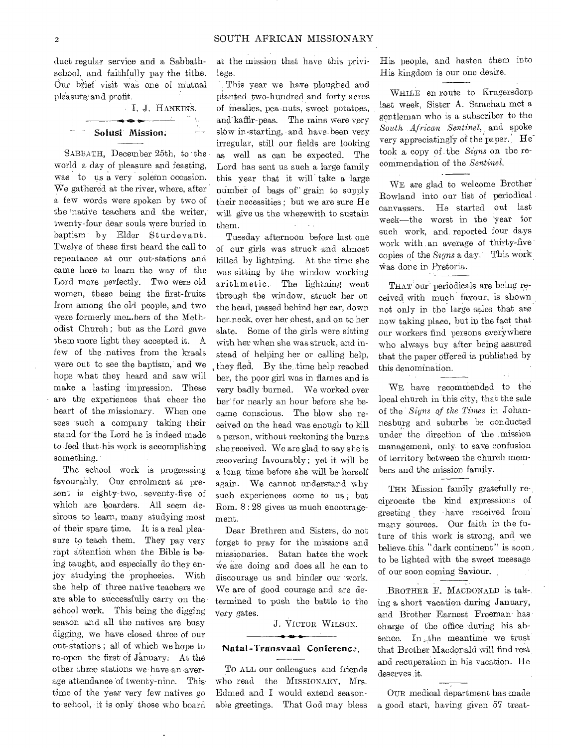duct regular service and a Sabbathschool, and faithfully pay the tithe. Our brief visit was one of Mutual pleasure' and profit.

| J. J. HANKINS.  |  |
|-----------------|--|
|                 |  |
| Solusi Mission: |  |

SABBATH, December 25th, to the world a day of pleasure and feasting, was to us a very solemn occasion. We gathered at the river, where, after a few words were spoken by two of the 'native teachers and the writer, twenty-four dear souls were buried in baptism by Elder Sturdevant. Twelve of these first heard the call to repentance at our out-stations and came here to learn the way of the Lord more perfectly. Two were old women, these being the first-fruits from among the old people, and two were formerly men.bers of the Methodist Church ; but as the Lord gave them more light they accepted it. A few of the natives from the kraals were out to see the baptism, and we hope what they heard and saw will make a lasting impression. These are the experiences that cheer the heart of the missionary. When one sees 'such a company taking their stand for the Lord he is indeed made to feel that his work is accomplishing something.

The school work is progressing favourably. Our enrolment at present is eighty-two, seventy-five of which are boarders. All seem desirous to learn, many studying most of their spare time. It is a real pleasure to teach them. They pay very rapt attention when the Bible is being taught, and especially do they enjoy studying the prophecies. With the help of three native teachers we are able to successfully carry on the school work. This being the digging season and all the natives are busy digging, we have closed three of our out-stations ; all of which we hope to re-open the first' Of January. At the other three stations we have an average attendance of twenty-nine. This time of the year very few natives go to school, it is only those who board

at the mission that have this privilege.

This year we have ploughed and planted two-hundred and forty acres of mealies, pea-nuts, sweet potatoes, and kaffir-peas. The rains were very slów in starting, and have been very irregular, still our fields are looking as well as can be expected. The Lord has sent us such a large family this year that it will take a large number of bags of" grain to supply their necessities ; but we are sure He will give us the wherewith to sustain them.  $\Delta \sim 100$ 

Tuesday afternoon before last one of our girls was struck and almost killed by lightning. At the time she was sitting by the window working arithmetic. The lightning went through the window, struck her on the head, passed behind her ear, down herneck, over her chest, and on to her slate. Some of the girls were sitting with her when she was struck, and instead of helping her or calling help. they fled. By the. time help reached her, the poor girl was in flames and is very badly burned. We worked over her"for nearly an hour before she became conscious. The blow she received on the head was enough to kill a person, without reckoning the burns she received. We are glad to say she is recovering favourably ; yet it will be a long time before she will be herself again. We cannot understand why such experiences come to us ; but Rom. 8 : 28 gives us much encouragement.

Dear Brethren and Sisters, do not forget to pray for the missions and missionaries. Satan hates the work We are doing and does all he can to discourage us and hinder our 'work. We are of good courage and are determined to push the battle to the very gates.

J. VICTOR WILSON.

### Natal-Transvaal Conference.

To ALL our colleagues and friends who read the MISSIONARY, Mrs. Edmed and I would extend seasonable greetings. That God may bless

His people, and hasten them into His kingdom is our one desire.

WHILE en route to Krugersderp last week, Sister A. Strachan met a gentleman who is a subscriber to the *South African Sentinel,* and spoke very appreciatingly of the paper. He took a copy of -the *Signs* on the recommendation of the *Sentinel.* 

WE are glad to welcome Brother Rowland into our list of periodical canvassers. He started out last week—the worst in the year for such work, and reported four days work with an average of thirty-five copies of the *Signs* a day. This work Was done in Pretoria.

THAT our periodicals are being received with much favour, is shown not only in the large sales, that are now taking place, but in the fact that our workers find persons everywhere who always buy after being assured that the paper offered is published by this denomination.

WE have recommended to the local church in this city, that the sale of the *Signs of the Times* in Johannesburg and suburbs be conducted under the direction of the mission management, only to save confusion of territory between the church members and the mission family.

THE Mission family gratefully reciprocate the kind expressions of greeting they have received from many sources. Our faith in the future of this work is strong, and we believe this "dark continent" is soon. to be lighted with the sweet message of our soon coming Saviour.

.BROTHER F. MACDONALD is tak-, ing a short vacation during January, and Brother Earnest Freeman has charge of the office during his absence. In the meantime we trust that Brother Macdonald will find rest. and recuperation in his vacation. He deserves it.

OUR medical department has made a good start, having given 57 treat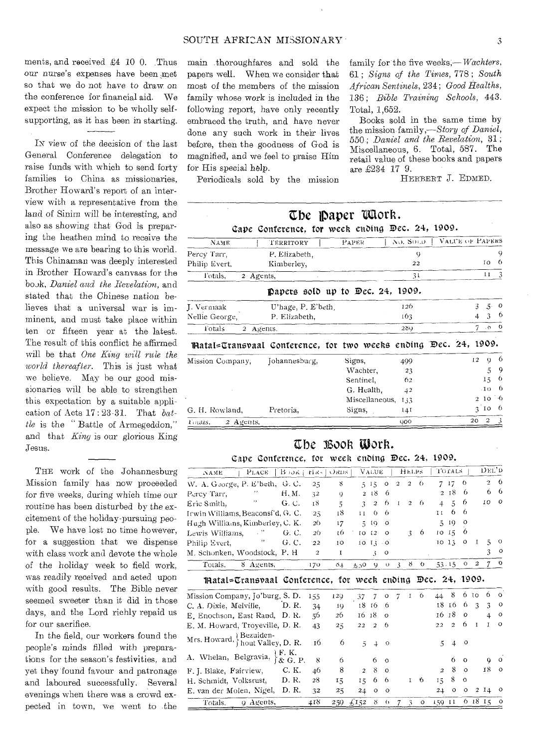ments, and received £4 10 0. Thus our nurse's expenses have been met so that we do not have to draw on the conference for financial aid. We expect the mission to be wholly selfsupporting, as it has been in starting.

IN view of the decision of the last General Conference delegation to raise funds with which to send forty families to China as missionaries. Brother Howard's report of an interview with a representative from the land of Sinim will be interesting, and also as showing that God is preparing the heathen mind to receive the message we are bearing to this world. This Chinaman was deeply interested in Brother Howard's canvass for the book, Daniel and the Revelation, and stated that the Chinese nation believes that a universal war is imminent, and must take place within ten or fifteen year at the latest. The result of this conflict he affirmed will be that One King will rule the world thereafter. This is just what we believe. May be our good missionaries will be able to strengthen this expectation by a suitable application of Acts  $17:23-31$ . That  $bat$ tle is the "Battle of Armegeddon," and that King is our glorious King Jesus.

THE work of the Johannesburg Mission family has now proceeded for five weeks, during which time our routine has been disturbed by the excitement of the holiday-pursuing people. We have lost no time however, for a suggestion that we dispense with class work and devote the whole of the holiday week to field work, was readily received and acted upon with good results. The Bible never seemed sweeter than it did in those days, and the Lord richly repaid us for our sacrifice.

In the field, our workers found the people's minds filled with preparations for the season's festivities, and yet they found favour and patronage and laboured successfully. Several evenings when there was a crowd expected in town, we went to the

main thoroughfares and sold the papers well. When we consider that most of the members of the mission family whose work is included in the following report, have only recently embraced the truth, and have never done any such work in their lives before, then the goodness of God is magnified, and we feel to praise Him for His special help.

family for the five weeks,—*Wachters*, 61: Signs of the Times, 778; South African Sentinels, 234; Good Healths, 136; Bible Training Schools, 443. Total, 1.652.

Books sold in the same time by the mission family,-Story of Daniel, 550; Daniel and the Revelation, 31; Miscellaneous, 6. Total, 587. The retail value of these books and papers are £234 17 9.

Periodicals sold by the mission

HERBERT J. EDMED.

|                                                                 | Cape Conference, for week ending Dec. 24, 1909. | The paper Udork. |                |                |                 |                |                  |               |
|-----------------------------------------------------------------|-------------------------------------------------|------------------|----------------|----------------|-----------------|----------------|------------------|---------------|
| NAME                                                            | TERRITORY                                       | PAPER            |                | NO. SOLD.      | VALUE OF PAPERS |                |                  |               |
| Percy Tarr,                                                     | P. Elizabeth,                                   |                  |                | $\mathsf Q$    |                 |                |                  | 9             |
| Philip Evert,                                                   | Kimberley,                                      |                  |                | 22             |                 |                | ΙO               | 6             |
| Fotals,<br>2 Agents,                                            |                                                 |                  |                | 31             |                 |                | $11 \quad 3$     |               |
|                                                                 | papers sold up to $Dec. 24, 1909.$              |                  |                |                |                 |                |                  |               |
| J. Vermaak                                                      | U'hage, P. E'beth.                              |                  |                | 126            |                 | $\mathfrak{Z}$ | $\mathfrak{F}$   | $\mathcal{O}$ |
| Nellie George,                                                  | P. Elizabeth,                                   |                  |                | 163            |                 | 4              | 3                | -6            |
| <b>Totals</b><br>2 Agents,                                      |                                                 |                  |                | 289            |                 | 7              | $\cdot$ 0        | $^{\circ}$    |
| matal=Transvaal Conference, for two weeks ending Dec. 24, 1909. |                                                 |                  |                |                |                 |                |                  |               |
| Mission Company,                                                | Johannesburg,                                   | Signs,           |                | 499            |                 | 12             | $\mathbf Q$      | -6            |
|                                                                 |                                                 |                  | Wachter,       | 23             |                 |                | 5                | 9             |
|                                                                 |                                                 |                  | Sentinel,      | 62             |                 |                | 15               | 6             |
|                                                                 |                                                 |                  | G. Health.     | 4 <sup>2</sup> |                 |                | $\cdot$ IO       | -6            |
|                                                                 |                                                 |                  | Miscellaneous, | 133            |                 |                | 2 10             | ்க            |
| G. H. Rowland,                                                  | Pretoria,                                       | Signs,           |                | 141            |                 |                | 3 <sub>10</sub>  | -6            |
| $2$ Agents.<br>Founs.                                           |                                                 |                  |                | <b>GOO</b>     |                 | 20             | $\boldsymbol{z}$ | - 3           |

# The Book Work.

Cane Conference, for week ending Dec. 24, 1909.

| $B$ $\partial K$<br>PLACE<br>NAME                          | tix-           | ORDS.        |                          | VALUE            |                  |                | HELPS          |            |                       | Torats           |               |                  | DEL'D          |          |
|------------------------------------------------------------|----------------|--------------|--------------------------|------------------|------------------|----------------|----------------|------------|-----------------------|------------------|---------------|------------------|----------------|----------|
| W. A. George, P. E'beth, G. C.                             | $25^{\circ}$   | 8            |                          | $5 - 15$         | $\circ$          | $\overline{c}$ | $\overline{c}$ | $\theta$   |                       | 717              | 6             |                  | $\overline{2}$ | -6       |
| H. M.<br>Percy Tarr,                                       | 32             | $\mathbf Q$  |                          | 218              | 6                |                |                |            | $\overline{2}$        | 18               | 6             |                  | 6              | -6       |
| Eric Smith,<br>G. C.                                       | 18             | 5            | $\overline{\mathcal{L}}$ | $\boldsymbol{2}$ | 6                | $\mathbf{I}$   | $\overline{c}$ | -6         | 4                     | 5                | 6             |                  | ΙO             | $\circ$  |
| Irwin Williams, Beaconsf'd, G. C.                          | $2\tilde{5}$   | 18           | 11                       | 6                | 6                |                |                |            | ΙI                    | 6                | 6             |                  |                |          |
| Hugh Williams, Kimberley, C. K.                            | 26             | 17           | 5                        | 10               | $\circ$          |                |                |            | $\tilde{\mathcal{L}}$ | 10               | $\circ$       |                  |                |          |
| Lewis Williams, "<br>G. C.                                 | 20             | ι6           | 10 <sup>2</sup>          | 12               | $\circ$          |                |                | $3\quad 6$ |                       | 10 <sub>15</sub> | 6             |                  |                |          |
| $\boldsymbol{\eta}$<br>Philip Evert,<br>G. C.              | 22             | 10           | 10 <sub>13</sub>         |                  | $\cdot$ O        |                |                |            |                       | 1013             | $\circ$       | 1                | 5              | $\circ$  |
| M. Schonken, Woodstock, P. H.                              | $\mathfrak{D}$ | I            |                          | 3                | O                |                |                |            |                       |                  |               |                  | 3              | $\circ$  |
| 8 Agents,<br>Totals,                                       | 170            | 64           | 65.30                    | $\mathbf Q$      | $\cup$           | $\overline{3}$ |                | 80         |                       | 53.15            | $\mathcal{O}$ | $\boldsymbol{2}$ | 7              | O        |
| matal=Transvaal Conference, for week ending Dec. 24, 1909. |                |              |                          |                  |                  |                |                |            |                       |                  |               |                  |                |          |
| Mission Company, Jo'burg, S. D.                            | 155            | 120          | 37                       | 7                | $\circ$          | 7              | I              | 6          | 44                    | 8                | 6.            | τo               | 6              | $\Omega$ |
| D. R.<br>C. A. Dixie, Melville,                            | 34             | 10           | 18                       | -16              | 6                |                |                |            | 18                    | -16              | 6             | 3                | 3              | $\circ$  |
| E. Enochson, East Rand, D.R.                               | 56             | 26           | 16                       | -18              | $\Omega$         |                |                |            | 16                    | -18              | $\circ$       |                  | $\overline{4}$ | $\circ$  |
| E. M. Howard, Troyeville, D. R.                            | 43             | $25^{\circ}$ | 22                       | $\overline{2}$   | 6                |                |                |            | 22                    | $\overline{a}$   | 6             | $\bf{I}$         | I              | $\circ$  |
| Mrs. Howard, Bezuiden-<br>hout Valley, D. R.               | 16             | 6            | 5                        | $\overline{+}$   | $\circ$          |                |                |            | 5                     | 4                | $\circ$       |                  |                |          |
| A. Whelan, Belgravia, $\mathcal{E}$ , K. P.                | 8              | 6            |                          | 6                | $\Omega$         |                |                |            |                       | 6                | $\Omega$      |                  | Q              | $\circ$  |
| C. K.<br>F. J. Blake, Fairview,                            | 46             | 8            | $\overline{c}$           | 8                | $\circ$          |                |                |            | $\overline{a}$        | 8                | $\circ$       |                  | 18             | $\circ$  |
| D. R.<br>H. Schmidt, Volksrust,                            | 28             | 15           | 15                       | 6                | 6                |                | $\mathbf{I}$   | 6          | 15                    | 8                | $\circ$       |                  |                |          |
| E. van der Molen, Nigel,<br>D. R.                          | 32             | 25           | 24                       | $\circ$          | $\circ$          |                |                |            | 24                    | $\circ$          | $\circ$       |                  | 2I4            | $\circ$  |
| 9 Agents,<br>Totals.                                       | 418            | 259          | $\pm$ 152                | S.               | $\left( \right)$ | 7              | 3              | $\circ$    | 159 11                |                  |               | 61815            |                | $\circ$  |